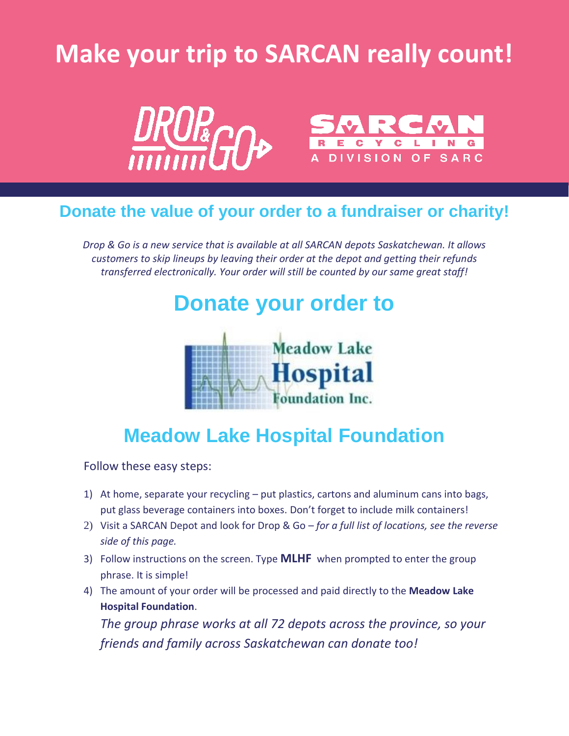# **Make your trip to SARCAN really count!**



#### **Donate the value of your order to a fundraiser or charity!**

*Drop & Go is a new service that is available at all SARCAN depots Saskatchewan. It allows customers to skip lineups by leaving their order at the depot and getting their refunds transferred electronically. Your order will still be counted by our same great staff!*

## **Donate your order to**



#### **Meadow Lake Hospital Foundation**

Follow these easy steps:

- 1) At home, separate your recycling put plastics, cartons and aluminum cans into bags, put glass beverage containers into boxes. Don't forget to include milk containers!
- 2) Visit a SARCAN Depot and look for Drop & Go *for a full list of locations, see the reverse side of this page.*
- 3) Follow instructions on the screen. Type **MLHF** when prompted to enter the group phrase. It is simple!
- 4) The amount of your order will be processed and paid directly to the **Meadow Lake Hospital Foundation**.

*The group phrase works at all 72 depots across the province, so your friends and family across Saskatchewan can donate too!*